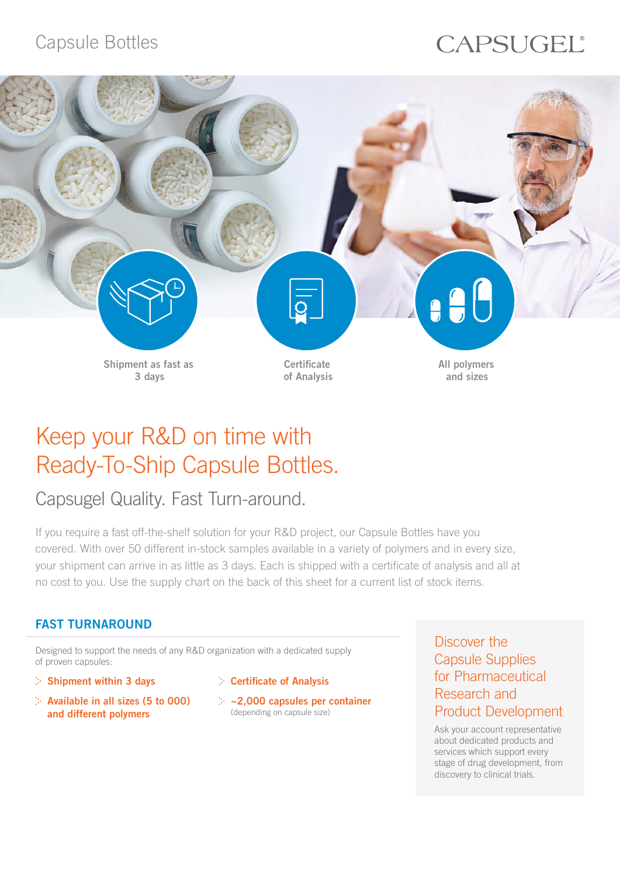# Capsule Bottles

# CAPSUGEL®



# Keep your R&D on time with Ready-To-Ship Capsule Bottles.

# Capsugel Quality. Fast Turn-around.

If you require a fast off-the-shelf solution for your R&D project, our Capsule Bottles have you covered. With over 50 different in-stock samples available in a variety of polymers and in every size, your shipment can arrive in as little as 3 days. Each is shipped with a certificate of analysis and all at no cost to you. Use the supply chart on the back of this sheet for a current list of stock items.

### FAST TURNAROUND

Designed to support the needs of any R&D organization with a dedicated supply of proven capsules:

- $\geq$  Shipment within 3 days
- $\therefore$  Available in all sizes (5 to 000) and different polymers
- $\triangleright$  Certificate of Analysis
- $\geq$  ~2,000 capsules per container (depending on capsule size)

Discover the Capsule Supplies for Pharmaceutical Research and Product Development

Ask your account representative about dedicated products and services which support every stage of drug development, from discovery to clinical trials.